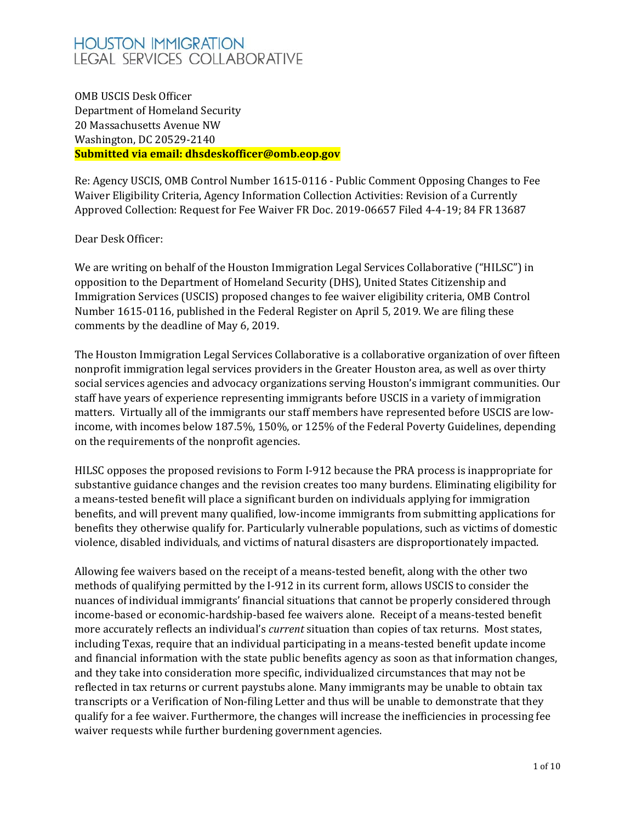# **HOUSTON IMMIGRATION LEGAL SERVICES COLLABORATIVE**

OMB USCIS Desk Officer Department of Homeland Security 20 Massachusetts Avenue NW Washington, DC 20529-2140 **Submitted via email: dhsdeskofficer@omb.eop.gov**

Re: Agency USCIS, OMB Control Number 1615-0116 - Public Comment Opposing Changes to Fee Waiver Eligibility Criteria, Agency Information Collection Activities: Revision of a Currently Approved Collection: Request for Fee Waiver FR Doc. 2019-06657 Filed 4-4-19; 84 FR 13687

Dear Desk Officer:

We are writing on behalf of the Houston Immigration Legal Services Collaborative ("HILSC") in opposition to the Department of Homeland Security (DHS), United States Citizenship and Immigration Services (USCIS) proposed changes to fee waiver eligibility criteria, OMB Control Number 1615-0116, published in the Federal Register on April 5, 2019. We are filing these comments by the deadline of May 6, 2019.

The Houston Immigration Legal Services Collaborative is a collaborative organization of over fifteen nonprofit immigration legal services providers in the Greater Houston area, as well as over thirty social services agencies and advocacy organizations serving Houston's immigrant communities. Our staff have years of experience representing immigrants before USCIS in a variety of immigration matters. Virtually all of the immigrants our staff members have represented before USCIS are lowincome, with incomes below 187.5%, 150%, or 125% of the Federal Poverty Guidelines, depending on the requirements of the nonprofit agencies.

HILSC opposes the proposed revisions to Form I-912 because the PRA process is inappropriate for substantive guidance changes and the revision creates too many burdens. Eliminating eligibility for a means-tested benefit will place a significant burden on individuals applying for immigration benefits, and will prevent many qualified, low-income immigrants from submitting applications for benefits they otherwise qualify for. Particularly vulnerable populations, such as victims of domestic violence, disabled individuals, and victims of natural disasters are disproportionately impacted.

Allowing fee waivers based on the receipt of a means-tested benefit, along with the other two methods of qualifying permitted by the I-912 in its current form, allows USCIS to consider the nuances of individual immigrants' financial situations that cannot be properly considered through income-based or economic-hardship-based fee waivers alone. Receipt of a means-tested benefit more accurately reflects an individual's *current* situation than copies of tax returns. Most states, including Texas, require that an individual participating in a means-tested benefit update income and financial information with the state public benefits agency as soon as that information changes, and they take into consideration more specific, individualized circumstances that may not be reflected in tax returns or current paystubs alone. Many immigrants may be unable to obtain tax transcripts or a Verification of Non-filing Letter and thus will be unable to demonstrate that they qualify for a fee waiver. Furthermore, the changes will increase the inefficiencies in processing fee waiver requests while further burdening government agencies.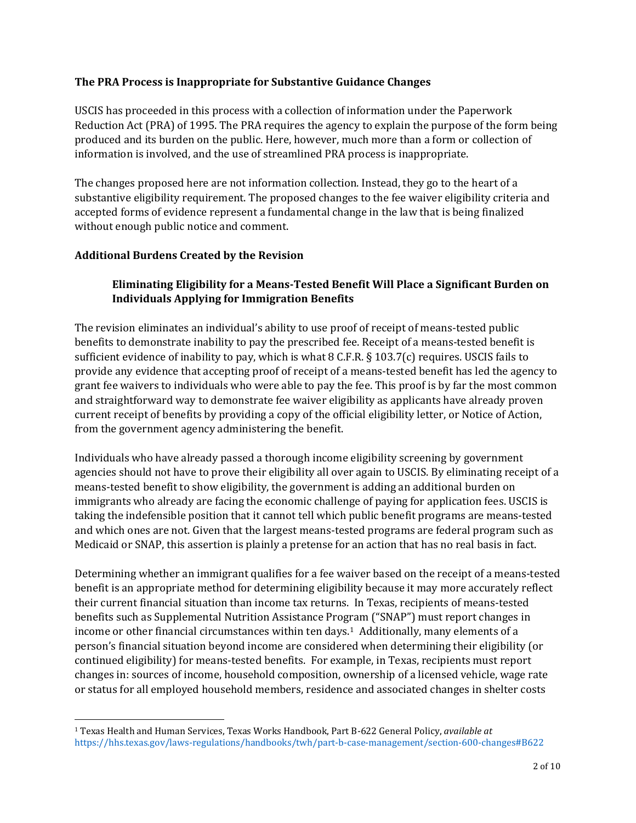#### **The PRA Process is Inappropriate for Substantive Guidance Changes**

USCIS has proceeded in this process with a collection of information under the Paperwork Reduction Act (PRA) of 1995. The PRA requires the agency to explain the purpose of the form being produced and its burden on the public. Here, however, much more than a form or collection of information is involved, and the use of streamlined PRA process is inappropriate.

The changes proposed here are not information collection. Instead, they go to the heart of a substantive eligibility requirement. The proposed changes to the fee waiver eligibility criteria and accepted forms of evidence represent a fundamental change in the law that is being finalized without enough public notice and comment.

#### **Additional Burdens Created by the Revision**

 $\overline{\phantom{a}}$ 

## **Eliminating Eligibility for a Means-Tested Benefit Will Place a Significant Burden on Individuals Applying for Immigration Benefits**

The revision eliminates an individual's ability to use proof of receipt of means-tested public benefits to demonstrate inability to pay the prescribed fee. Receipt of a means-tested benefit is sufficient evidence of inability to pay, which is what 8 C.F.R. § 103.7(c) requires. USCIS fails to provide any evidence that accepting proof of receipt of a means-tested benefit has led the agency to grant fee waivers to individuals who were able to pay the fee. This proof is by far the most common and straightforward way to demonstrate fee waiver eligibility as applicants have already proven current receipt of benefits by providing a copy of the official eligibility letter, or Notice of Action, from the government agency administering the benefit.

Individuals who have already passed a thorough income eligibility screening by government agencies should not have to prove their eligibility all over again to USCIS. By eliminating receipt of a means-tested benefit to show eligibility, the government is adding an additional burden on immigrants who already are facing the economic challenge of paying for application fees. USCIS is taking the indefensible position that it cannot tell which public benefit programs are means-tested and which ones are not. Given that the largest means-tested programs are federal program such as Medicaid or SNAP, this assertion is plainly a pretense for an action that has no real basis in fact.

Determining whether an immigrant qualifies for a fee waiver based on the receipt of a means-tested benefit is an appropriate method for determining eligibility because it may more accurately reflect their current financial situation than income tax returns. In Texas, recipients of means-tested benefits such as Supplemental Nutrition Assistance Program ("SNAP") must report changes in income or other financial circumstances within ten days. $1$  Additionally, many elements of a person's financial situation beyond income are considered when determining their eligibility (or continued eligibility) for means-tested benefits. For example, in Texas, recipients must report changes in: sources of income, household composition, ownership of a licensed vehicle, wage rate or status for all employed household members, residence and associated changes in shelter costs

<span id="page-1-0"></span><sup>1</sup> Texas Health and Human Services, Texas Works Handbook, Part B-622 General Policy, *available at*  <https://hhs.texas.gov/laws-regulations/handbooks/twh/part-b-case-management/section-600-changes#B622>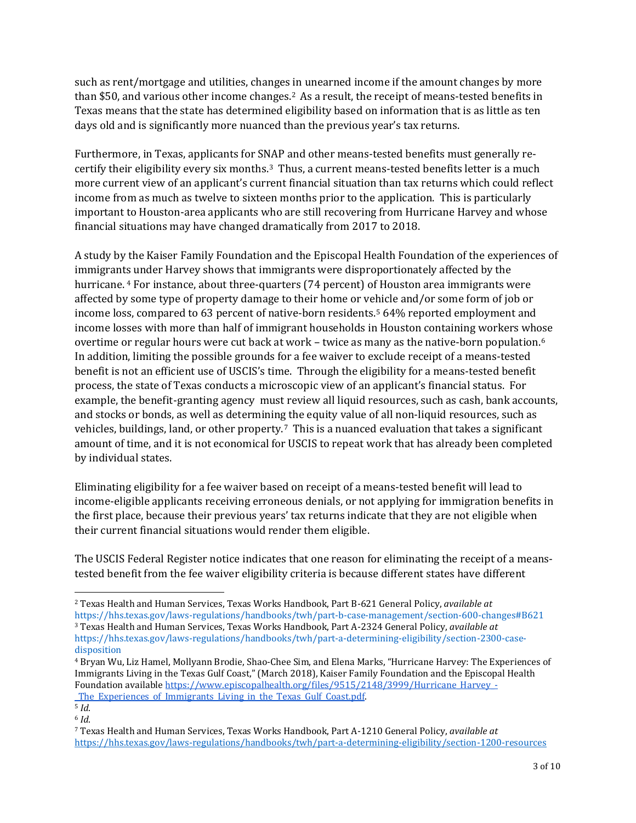such as rent/mortgage and utilities, changes in unearned income if the amount changes by more than \$50, and various other income changes.[2](#page-2-0) As a result, the receipt of means-tested benefits in Texas means that the state has determined eligibility based on information that is as little as ten days old and is significantly more nuanced than the previous year's tax returns.

Furthermore, in Texas, applicants for SNAP and other means-tested benefits must generally recertify their eligibility every six months.[3](#page-2-1) Thus, a current means-tested benefits letter is a much more current view of an applicant's current financial situation than tax returns which could reflect income from as much as twelve to sixteen months prior to the application. This is particularly important to Houston-area applicants who are still recovering from Hurricane Harvey and whose financial situations may have changed dramatically from 2017 to 2018.

A study by the Kaiser Family Foundation and the Episcopal Health Foundation of the experiences of immigrant[s](#page-2-2) under Harvey shows that immigrants were disproportionately affected by the hurricane. <sup>4</sup> For instance, about three-quarters (74 percent) of Houston area immigrants were affected by some type of property damage to their home or vehicle and/or some form of job or income loss, compared to 63 percent of native-born residents.<sup>[5](#page-2-3)</sup> 64% reported employment and income losses with more than half of immigrant households in Houston containing workers whose overtime or regular hours were cut back at work – twice as many as the native-born population.[6](#page-2-4) In addition, limiting the possible grounds for a fee waiver to exclude receipt of a means-tested benefit is not an efficient use of USCIS's time. Through the eligibility for a means-tested benefit process, the state of Texas conducts a microscopic view of an applicant's financial status. For example, the benefit-granting agency must review all liquid resources, such as cash, bank accounts, and stocks or bonds, as well as determining the equity value of all non-liquid resources, such as vehicles, buildings, land, or other property.<sup>[7](#page-2-5)</sup> This is a nuanced evaluation that takes a significant amount of time, and it is not economical for USCIS to repeat work that has already been completed by individual states.

Eliminating eligibility for a fee waiver based on receipt of a means-tested benefit will lead to income-eligible applicants receiving erroneous denials, or not applying for immigration benefits in the first place, because their previous years' tax returns indicate that they are not eligible when their current financial situations would render them eligible.

The USCIS Federal Register notice indicates that one reason for eliminating the receipt of a meanstested benefit from the fee waiver eligibility criteria is because different states have different

 $\overline{a}$ <sup>2</sup> Texas Health and Human Services, Texas Works Handbook, Part B-621 General Policy, *available at* 

<span id="page-2-1"></span><span id="page-2-0"></span><https://hhs.texas.gov/laws-regulations/handbooks/twh/part-b-case-management/section-600-changes#B621> <sup>3</sup> Texas Health and Human Services, Texas Works Handbook, Part A-2324 General Policy, *available at* 

https://hhs.texas.gov/laws-regulations/handbooks/twh/part-a-determining-eligibility/section-2300-casedisposition

<span id="page-2-2"></span><sup>4</sup> Bryan Wu, Liz Hamel, Mollyann Brodie, Shao-Chee Sim, and Elena Marks, "Hurricane Harvey: The Experiences of Immigrants Living in the Texas Gulf Coast," (March 2018), Kaiser Family Foundation and the Episcopal Health Foundation availabl[e https://www.episcopalhealth.org/files/9515/2148/3999/Hurricane\\_Harvey\\_-](https://www.episcopalhealth.org/files/9515/2148/3999/Hurricane_Harvey_-_The_Experiences_of_Immigrants_Living_in_the_Texas_Gulf_Coast.pdf) The Experiences of Immigrants Living in the Texas Gulf Coast.pdf.

<span id="page-2-3"></span><sup>5</sup> *Id*.

<span id="page-2-4"></span><sup>6</sup> *Id*.

<span id="page-2-5"></span><sup>7</sup> Texas Health and Human Services, Texas Works Handbook, Part A-1210 General Policy, *available at*  <https://hhs.texas.gov/laws-regulations/handbooks/twh/part-a-determining-eligibility/section-1200-resources>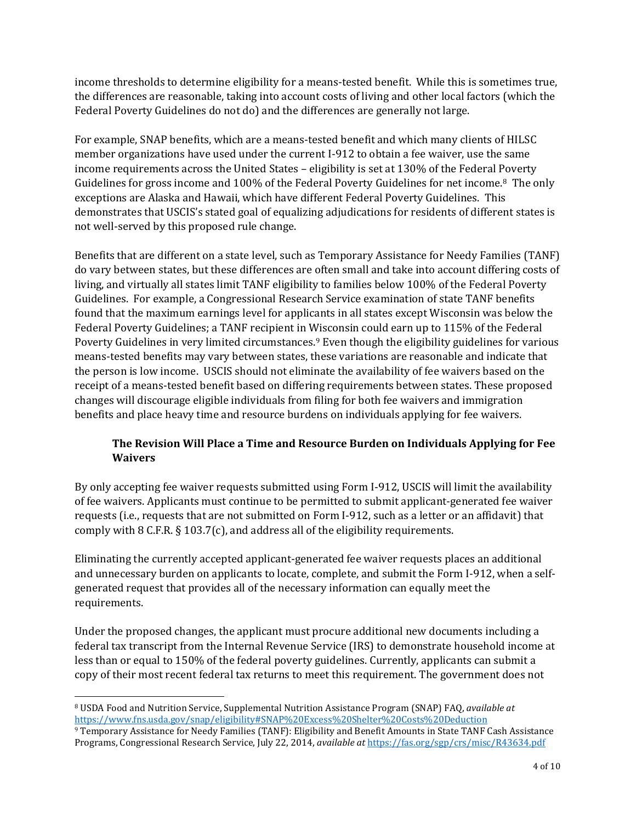income thresholds to determine eligibility for a means-tested benefit. While this is sometimes true, the differences are reasonable, taking into account costs of living and other local factors (which the Federal Poverty Guidelines do not do) and the differences are generally not large.

For example, SNAP benefits, which are a means-tested benefit and which many clients of HILSC member organizations have used under the current I-912 to obtain a fee waiver, use the same income requirements across the United States – eligibility is set at 130% of the Federal Poverty Guidelines for gross income and 100% of the Federal Poverty Guidelines for net income.[8](#page-3-0) The only exceptions are Alaska and Hawaii, which have different Federal Poverty Guidelines. This demonstrates that USCIS's stated goal of equalizing adjudications for residents of different states is not well-served by this proposed rule change.

Benefits that are different on a state level, such as Temporary Assistance for Needy Families (TANF) do vary between states, but these differences are often small and take into account differing costs of living, and virtually all states limit TANF eligibility to families below 100% of the Federal Poverty Guidelines. For example, a Congressional Research Service examination of state TANF benefits found that the maximum earnings level for applicants in all states except Wisconsin was below the Federal Poverty Guidelines; a TANF recipient in Wisconsin could earn up to 115% of the Federal Poverty Guidelines in very limited circumstances.[9](#page-3-1) Even though the eligibility guidelines for various means-tested benefits may vary between states, these variations are reasonable and indicate that the person is low income. USCIS should not eliminate the availability of fee waivers based on the receipt of a means-tested benefit based on differing requirements between states. These proposed changes will discourage eligible individuals from filing for both fee waivers and immigration benefits and place heavy time and resource burdens on individuals applying for fee waivers.

# **The Revision Will Place a Time and Resource Burden on Individuals Applying for Fee Waivers**

By only accepting fee waiver requests submitted using Form I-912, USCIS will limit the availability of fee waivers. Applicants must continue to be permitted to submit applicant-generated fee waiver requests (i.e., requests that are not submitted on Form I-912, such as a letter or an affidavit) that comply with 8 C.F.R. § 103.7(c), and address all of the eligibility requirements.

Eliminating the currently accepted applicant-generated fee waiver requests places an additional and unnecessary burden on applicants to locate, complete, and submit the Form I-912, when a selfgenerated request that provides all of the necessary information can equally meet the requirements.

Under the proposed changes, the applicant must procure additional new documents including a federal tax transcript from the Internal Revenue Service (IRS) to demonstrate household income at less than or equal to 150% of the federal poverty guidelines. Currently, applicants can submit a copy of their most recent federal tax returns to meet this requirement. The government does not

l

<span id="page-3-0"></span><sup>8</sup> USDA Food and Nutrition Service, Supplemental Nutrition Assistance Program (SNAP) FAQ, *available at*  <https://www.fns.usda.gov/snap/eligibility#SNAP%20Excess%20Shelter%20Costs%20Deduction>

<span id="page-3-1"></span><sup>9</sup> Temporary Assistance for Needy Families (TANF): Eligibility and Benefit Amounts in State TANF Cash Assistance Programs, Congressional Research Service, July 22, 2014, *available at* <https://fas.org/sgp/crs/misc/R43634.pdf>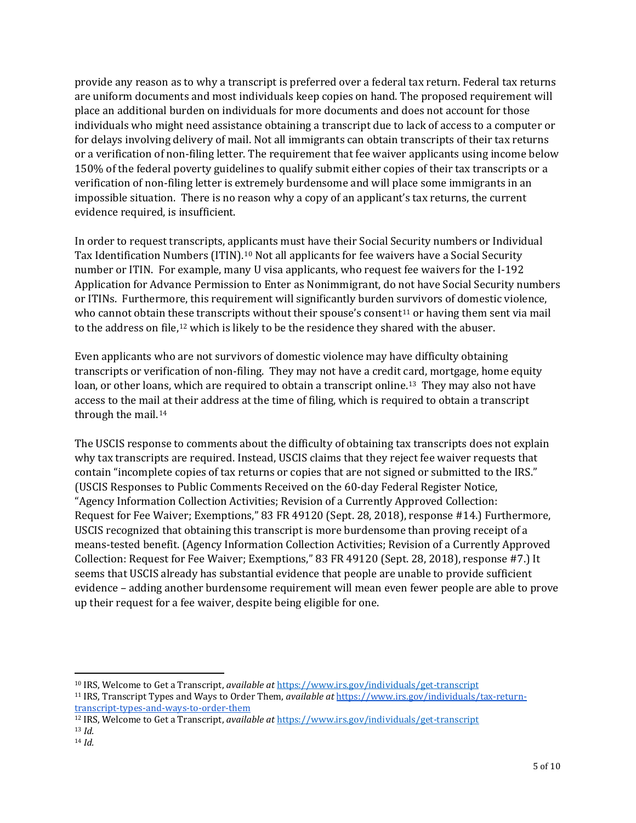provide any reason as to why a transcript is preferred over a federal tax return. Federal tax returns are uniform documents and most individuals keep copies on hand. The proposed requirement will place an additional burden on individuals for more documents and does not account for those individuals who might need assistance obtaining a transcript due to lack of access to a computer or for delays involving delivery of mail. Not all immigrants can obtain transcripts of their tax returns or a verification of non-filing letter. The requirement that fee waiver applicants using income below 150% of the federal poverty guidelines to qualify submit either copies of their tax transcripts or a verification of non-filing letter is extremely burdensome and will place some immigrants in an impossible situation. There is no reason why a copy of an applicant's tax returns, the current evidence required, is insufficient.

In order to request transcripts, applicants must have their Social Security numbers or Individual Tax Identification Numbers (ITIN).<sup>[10](#page-4-0)</sup> Not all applicants for fee waivers have a Social Security number or ITIN. For example, many U visa applicants, who request fee waivers for the I-192 Application for Advance Permission to Enter as Nonimmigrant, do not have Social Security numbers or ITINs. Furthermore, this requirement will significantly burden s[ur](#page-4-1)vivors of domestic violence, who cannot obtain th[es](#page-4-2)e transcripts without their spouse's consent<sup>11</sup> or having them sent via mail to the address on file,<sup>12</sup> which is likely to be the residence they shared with the abuser.

Even applicants who are not survivors of domestic violence may have difficulty obtaining transcripts or verification of non-filing. They may not have a credit card, mortgage, home equity loan, or other loans, which are required to obtain a transcript online.<sup>[13](#page-4-3)</sup> They may also not have access to the mail at their address at the time of filing, which is required to obtain a transcript through the mail.[14](#page-4-4)

The USCIS response to comments about the difficulty of obtaining tax transcripts does not explain why tax transcripts are required. Instead, USCIS claims that they reject fee waiver requests that contain "incomplete copies of tax returns or copies that are not signed or submitted to the IRS." (USCIS Responses to Public Comments Received on the 60-day Federal Register Notice, "Agency Information Collection Activities; Revision of a Currently Approved Collection: Request for Fee Waiver; Exemptions," 83 FR 49120 (Sept. 28, 2018), response #14.) Furthermore, USCIS recognized that obtaining this transcript is more burdensome than proving receipt of a means-tested benefit. (Agency Information Collection Activities; Revision of a Currently Approved Collection: Request for Fee Waiver; Exemptions," 83 FR 49120 (Sept. 28, 2018), response #7.) It seems that USCIS already has substantial evidence that people are unable to provide sufficient evidence – adding another burdensome requirement will mean even fewer people are able to prove up their request for a fee waiver, despite being eligible for one.

 $\overline{a}$ 

<span id="page-4-0"></span><sup>10</sup> IRS, Welcome to Get a Transcript, *available at* <https://www.irs.gov/individuals/get-transcript>

<span id="page-4-1"></span><sup>11</sup> IRS, Transcript Types and Ways to Order Them, *available at* [https://www.irs.gov/individuals/tax-return](https://www.irs.gov/individuals/tax-return-transcript-types-and-ways-to-order-them)[transcript-types-and-ways-to-order-them](https://www.irs.gov/individuals/tax-return-transcript-types-and-ways-to-order-them)

<span id="page-4-3"></span><span id="page-4-2"></span><sup>12</sup> IRS, Welcome to Get a Transcript, *available at* <https://www.irs.gov/individuals/get-transcript> <sup>13</sup> *Id.*

<span id="page-4-4"></span><sup>14</sup> *Id.*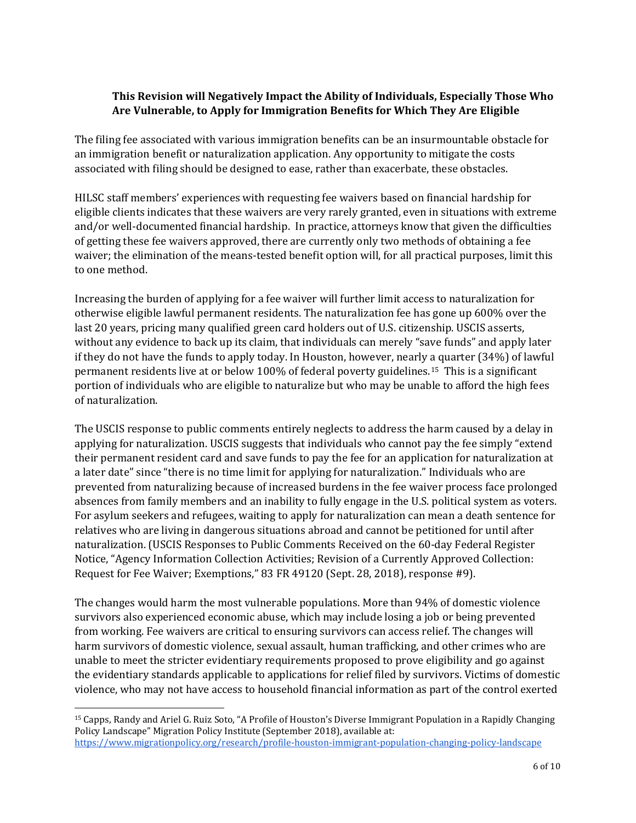## **This Revision will Negatively Impact the Ability of Individuals, Especially Those Who Are Vulnerable, to Apply for Immigration Benefits for Which They Are Eligible**

The filing fee associated with various immigration benefits can be an insurmountable obstacle for an immigration benefit or naturalization application. Any opportunity to mitigate the costs associated with filing should be designed to ease, rather than exacerbate, these obstacles.

HILSC staff members' experiences with requesting fee waivers based on financial hardship for eligible clients indicates that these waivers are very rarely granted, even in situations with extreme and/or well-documented financial hardship. In practice, attorneys know that given the difficulties of getting these fee waivers approved, there are currently only two methods of obtaining a fee waiver; the elimination of the means-tested benefit option will, for all practical purposes, limit this to one method.

Increasing the burden of applying for a fee waiver will further limit access to naturalization for otherwise eligible lawful permanent residents. The naturalization fee has gone up 600% over the last 20 years, pricing many qualified green card holders out of U.S. citizenship. USCIS asserts, without any evidence to back up its claim, that individuals can merely "save funds" and apply later if they do not have the funds to apply today. In Houston, however, nearly a quarter (34%) of lawful permanent residents live at or below 100% of federal poverty guidelines.[15](#page-5-0) This is a significant portion of individuals who are eligible to naturalize but who may be unable to afford the high fees of naturalization.

The USCIS response to public comments entirely neglects to address the harm caused by a delay in applying for naturalization. USCIS suggests that individuals who cannot pay the fee simply "extend their permanent resident card and save funds to pay the fee for an application for naturalization at a later date" since "there is no time limit for applying for naturalization." Individuals who are prevented from naturalizing because of increased burdens in the fee waiver process face prolonged absences from family members and an inability to fully engage in the U.S. political system as voters. For asylum seekers and refugees, waiting to apply for naturalization can mean a death sentence for relatives who are living in dangerous situations abroad and cannot be petitioned for until after naturalization. (USCIS Responses to Public Comments Received on the 60-day Federal Register Notice, "Agency Information Collection Activities; Revision of a Currently Approved Collection: Request for Fee Waiver; Exemptions," 83 FR 49120 (Sept. 28, 2018), response #9).

The changes would harm the most vulnerable populations. More than 94% of domestic violence survivors also experienced economic abuse, which may include losing a job or being prevented from working. Fee waivers are critical to ensuring survivors can access relief. The changes will harm survivors of domestic violence, sexual assault, human trafficking, and other crimes who are unable to meet the stricter evidentiary requirements proposed to prove eligibility and go against the evidentiary standards applicable to applications for relief filed by survivors. Victims of domestic violence, who may not have access to household financial information as part of the control exerted

 $\overline{a}$ 

<span id="page-5-0"></span><sup>15</sup> Capps, Randy and Ariel G. Ruiz Soto, "A Profile of Houston's Diverse Immigrant Population in a Rapidly Changing Policy Landscape" Migration Policy Institute (September 2018), available at: <https://www.migrationpolicy.org/research/profile-houston-immigrant-population-changing-policy-landscape>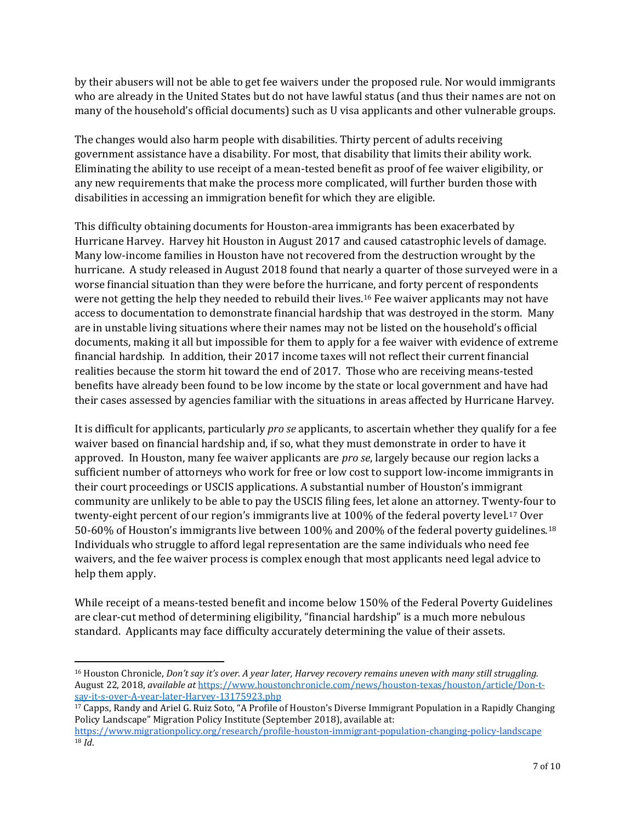by their abusers will not be able to get fee waivers under the proposed rule. Nor would immigrants who are already in the United States but do not have lawful status (and thus their names are not on many of the household's official documents) such as U visa applicants and other vulnerable groups.

The changes would also harm people with disabilities. Thirty percent of adults receiving government assistance have a disability. For most, that disability that limits their ability work. Eliminating the ability to use receipt of a mean-tested benefit as proof of fee waiver eligibility, or any new requirements that make the process more complicated, will further burden those with disabilities in accessing an immigration benefit for which they are eligible.

This difficulty obtaining documents for Houston-area immigrants has been exacerbated by Hurricane Harvey. Harvey hit Houston in August 2017 and caused catastrophic levels of damage. Many low-income families in Houston have not recovered from the destruction wrought by the hurricane. A study released in August 2018 found that nearly a quarter of those surveyed were in a worse financial situation than they were before the hurricane, and forty percent of respondents were not getting the help they needed to rebuild their lives.[16](#page-6-0) Fee waiver applicants may not have access to documentation to demonstrate financial hardship that was destroyed in the storm. Many are in unstable living situations where their names may not be listed on the household's official documents, making it all but impossible for them to apply for a fee waiver with evidence of extreme financial hardship. In addition, their 2017 income taxes will not reflect their current financial realities because the storm hit toward the end of 2017. Those who are receiving means-tested benefits have already been found to be low income by the state or local government and have had their cases assessed by agencies familiar with the situations in areas affected by Hurricane Harvey.

It is difficult for applicants, particularly *pro se* applicants, to ascertain whether they qualify for a fee waiver based on financial hardship and, if so, what they must demonstrate in order to have it approved. In Houston, many fee waiver applicants are *pro se*, largely because our region lacks a sufficient number of attorneys who work for free or low cost to support low-income immigrants in their court proceedings or USCIS applications. A substantial number of Houston's immigrant community are unlikely to be able to pay the USCIS filing fees, let alone an attorney. Twenty-four to twenty-eight percent of our region's immigrants live at 100% of the federal poverty level.[17](#page-6-1) Over 50-60% of Houston's immigrants live between 100% and 200% of the federal poverty guidelines.[18](#page-6-2) Individuals who struggle to afford legal representation are the same individuals who need fee waivers, and the fee waiver process is complex enough that most applicants need legal advice to help them apply.

While receipt of a means-tested benefit and income below 150% of the Federal Poverty Guidelines are clear-cut method of determining eligibility, "financial hardship" is a much more nebulous standard. Applicants may face difficulty accurately determining the value of their assets.

l

<span id="page-6-0"></span><sup>16</sup> Houston Chronicle, *Don't say it's over. A year later, Harvey recovery remains uneven with many still struggling.* August 22, 2018, *available at* https://www.houstonchronicle.com/news/houston-texas/houston/article/Don-tsay-it-s-over-A-year-later-Harvey-13175923.php

<span id="page-6-1"></span><sup>17</sup> Capps, Randy and Ariel G. Ruiz Soto, "A Profile of Houston's Diverse Immigrant Population in a Rapidly Changing Policy Landscape" Migration Policy Institute (September 2018), available at:

<span id="page-6-2"></span><https://www.migrationpolicy.org/research/profile-houston-immigrant-population-changing-policy-landscape> <sup>18</sup> *Id*.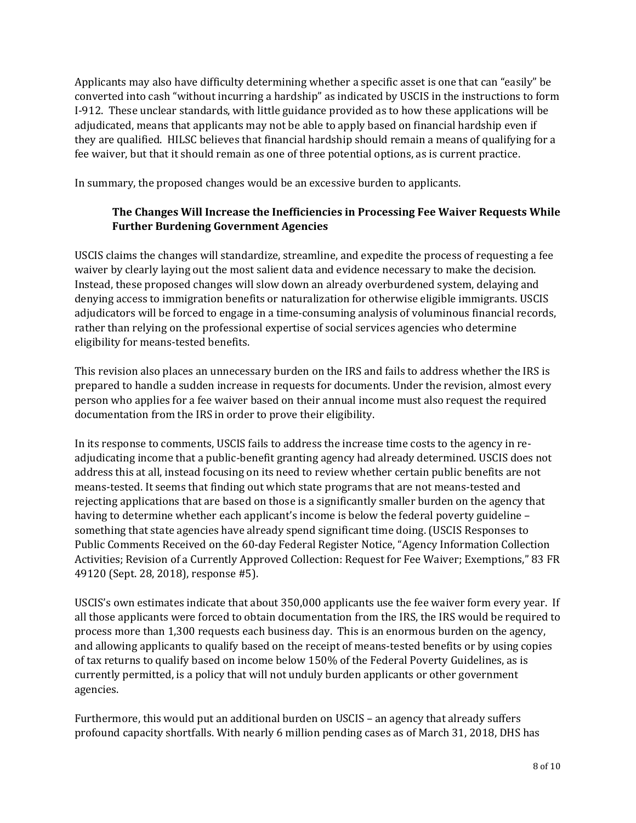Applicants may also have difficulty determining whether a specific asset is one that can "easily" be converted into cash "without incurring a hardship" as indicated by USCIS in the instructions to form I-912. These unclear standards, with little guidance provided as to how these applications will be adjudicated, means that applicants may not be able to apply based on financial hardship even if they are qualified. HILSC believes that financial hardship should remain a means of qualifying for a fee waiver, but that it should remain as one of three potential options, as is current practice.

In summary, the proposed changes would be an excessive burden to applicants.

# **The Changes Will Increase the Inefficiencies in Processing Fee Waiver Requests While Further Burdening Government Agencies**

USCIS claims the changes will standardize, streamline, and expedite the process of requesting a fee waiver by clearly laying out the most salient data and evidence necessary to make the decision. Instead, these proposed changes will slow down an already overburdened system, delaying and denying access to immigration benefits or naturalization for otherwise eligible immigrants. USCIS adjudicators will be forced to engage in a time-consuming analysis of voluminous financial records, rather than relying on the professional expertise of social services agencies who determine eligibility for means-tested benefits.

This revision also places an unnecessary burden on the IRS and fails to address whether the IRS is prepared to handle a sudden increase in requests for documents. Under the revision, almost every person who applies for a fee waiver based on their annual income must also request the required documentation from the IRS in order to prove their eligibility.

In its response to comments, USCIS fails to address the increase time costs to the agency in readjudicating income that a public-benefit granting agency had already determined. USCIS does not address this at all, instead focusing on its need to review whether certain public benefits are not means-tested. It seems that finding out which state programs that are not means-tested and rejecting applications that are based on those is a significantly smaller burden on the agency that having to determine whether each applicant's income is below the federal poverty guideline – something that state agencies have already spend significant time doing. (USCIS Responses to Public Comments Received on the 60-day Federal Register Notice, "Agency Information Collection Activities; Revision of a Currently Approved Collection: Request for Fee Waiver; Exemptions," 83 FR 49120 (Sept. 28, 2018), response #5).

USCIS's own estimates indicate that about 350,000 applicants use the fee waiver form every year. If all those applicants were forced to obtain documentation from the IRS, the IRS would be required to process more than 1,300 requests each business day. This is an enormous burden on the agency, and allowing applicants to qualify based on the receipt of means-tested benefits or by using copies of tax returns to qualify based on income below 150% of the Federal Poverty Guidelines, as is currently permitted, is a policy that will not unduly burden applicants or other government agencies.

Furthermore, this would put an additional burden on USCIS – an agency that already suffers profound capacity shortfalls. With nearly 6 million pending cases as of March 31, 2018, DHS has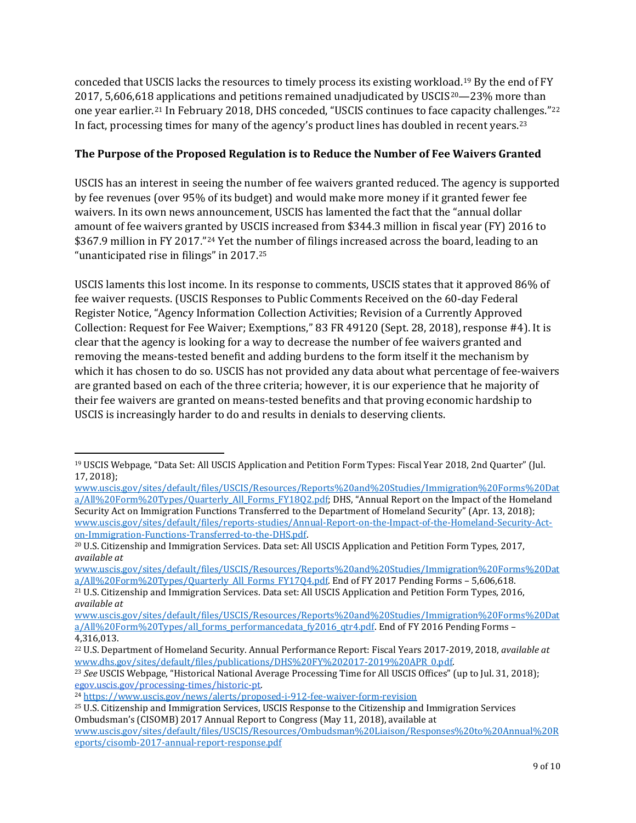conceded that USCIS lacks the resources to timely process its existing workload.[19](#page-8-0) By the end of FY 2017, 5,606,618 [ap](#page-8-2)plications and petitions remained unadjudicated by USCIS[20—](#page-8-1)23% more than one year earlier.21 In February 2018, DHS conceded, "USCIS continues to face capacity challenges."[22](#page-8-3) In fact, processing times for many of the agency's product lines has doubled in recent years.<sup>[23](#page-8-4)</sup>

## **The Purpose of the Proposed Regulation is to Reduce the Number of Fee Waivers Granted**

USCIS has an interest in seeing the number of fee waivers granted reduced. The agency is supported by fee revenues (over 95% of its budget) and would make more money if it granted fewer fee waivers. In its own news announcement, USCIS has lamented the fact that the "annual dollar amount of fee waivers granted by USCIS increased from \$344.3 million in fiscal year (FY) 2016 to \$367.9 million in FY 2017."[24](#page-8-5) Yet the number of filings increased across the board, leading to an "unanticipated rise in filings" in 2017.[25](#page-8-6)

USCIS laments this lost income. In its response to comments, USCIS states that it approved 86% of fee waiver requests. (USCIS Responses to Public Comments Received on the 60-day Federal Register Notice, "Agency Information Collection Activities; Revision of a Currently Approved Collection: Request for Fee Waiver; Exemptions," 83 FR 49120 (Sept. 28, 2018), response #4). It is clear that the agency is looking for a way to decrease the number of fee waivers granted and removing the means-tested benefit and adding burdens to the form itself it the mechanism by which it has chosen to do so. USCIS has not provided any data about what percentage of fee-waivers are granted based on each of the three criteria; however, it is our experience that he majority of their fee waivers are granted on means-tested benefits and that proving economic hardship to USCIS is increasingly harder to do and results in denials to deserving clients.

<span id="page-8-0"></span> $\overline{\phantom{a}}$ <sup>19</sup> USCIS Webpage, "Data Set: All USCIS Application and Petition Form Types: Fiscal Year 2018, 2nd Quarter" (Jul. 17, 2018[\);](https://www.uscis.gov/sites/default/files/USCIS/Resources/Reports%20and%20Studies/Immigration%20Forms%20Data/All%20Form%20Types/Quarterly_All_Forms_FY18Q2.pdf)

[www.uscis.gov/sites/default/files/USCIS/Resources/Reports%20and%20Studies/Immigration%20Forms%20Dat](http://www.uscis.gov/sites/default/files/USCIS/Resources/Reports%20and%20Studies/Immigration%20Forms%20Data/All%20Form%20Types/Quarterly_All_Forms_FY18Q2.pdf) [a/All%20Form%20Types/Quarterly\\_All\\_Forms\\_FY18Q2.pdf;](http://www.uscis.gov/sites/default/files/USCIS/Resources/Reports%20and%20Studies/Immigration%20Forms%20Data/All%20Form%20Types/Quarterly_All_Forms_FY18Q2.pdf) DHS, "Annual Report on the Impact of the Homeland Security Act on Immigration Functions Transferred to the Department of Homeland Security" (Apr. 13, 2018[\);](https://www.uscis.gov/sites/default/files/reports-studies/Annual-Report-on-the-Impact-of-the-Homeland-Security-Act-on-Immigration-Functions-Transferred-to-the-DHS.pdf) [www.uscis.gov/sites/default/files/reports-studies/Annual-Report-on-the-Impact-of-the-Homeland-Security-Act](http://www.uscis.gov/sites/default/files/reports-studies/Annual-Report-on-the-Impact-of-the-Homeland-Security-Act-on-Immigration-Functions-Transferred-to-the-DHS.pdf)[on-Immigration-Functions-Transferred-to-the-DHS.pdf.](http://www.uscis.gov/sites/default/files/reports-studies/Annual-Report-on-the-Impact-of-the-Homeland-Security-Act-on-Immigration-Functions-Transferred-to-the-DHS.pdf)

<span id="page-8-1"></span><sup>20</sup> U.S. Citizenship and Immigration Services. Data set: All USCIS Application and Petition Form Types, 2017, *available at*

[www.uscis.gov/sites/default/files/USCIS/Resources/Reports%20and%20Studies/Immigration%20Forms%20Dat](http://www.uscis.gov/sites/default/files/USCIS/Resources/Reports%20and%20Studies/Immigration%20Forms%20Data/All%20Form%20Types/Quarterly_All_Forms_FY17Q4.pdf) [a/All%20Form%20Types/Quarterly\\_All\\_Forms\\_FY17Q4.pdf.](http://www.uscis.gov/sites/default/files/USCIS/Resources/Reports%20and%20Studies/Immigration%20Forms%20Data/All%20Form%20Types/Quarterly_All_Forms_FY17Q4.pdf) End of FY 2017 Pending Forms – 5,606,618.

<span id="page-8-2"></span><sup>21</sup> U.S. Citizenship and Immigration Services. Data set: All USCIS Application and Petition Form Types, 2016, *available at*

[www.uscis.gov/sites/default/files/USCIS/Resources/Reports%20and%20Studies/Immigration%20Forms%20Dat](http://www.uscis.gov/sites/default/files/USCIS/Resources/Reports%20and%20Studies/Immigration%20Forms%20Data/All%20Form%20Types/all_forms_performancedata_fy2016_qtr4.pdf) [a/All%20Form%20Types/all\\_forms\\_performancedata\\_fy2016\\_qtr4.pdf.](http://www.uscis.gov/sites/default/files/USCIS/Resources/Reports%20and%20Studies/Immigration%20Forms%20Data/All%20Form%20Types/all_forms_performancedata_fy2016_qtr4.pdf) End of FY 2016 Pending Forms – 4,316,013.

<span id="page-8-3"></span><sup>22</sup> U.S. Department of Homeland Security. Annual Performance Report: Fiscal Years 2017-2019, 2018, *available at* [www.dhs.gov/sites/default/files/publications/DHS%20FY%202017-2019%20APR\\_0.pdf.](http://www.dhs.gov/sites/default/files/publications/DHS%20FY%202017-2019%20APR_0.pdf)

<span id="page-8-4"></span><sup>23</sup> *See* USCIS Webpage, "Historical National Average Processing Time for All USCIS Offices" (up to Jul. 31, 2018)[;](https://egov.uscis.gov/processing-times/historic-pt) [egov.uscis.gov/processing-times/historic-pt.](https://egov.uscis.gov/processing-times/historic-pt)

<span id="page-8-5"></span><sup>24</sup> <https://www.uscis.gov/news/alerts/proposed-i-912-fee-waiver-form-revision>

<span id="page-8-6"></span><sup>25</sup> U.S. Citizenship and Immigration Services, USCIS Response to the Citizenship and Immigration Services Ombudsman's (CISOMB) 2017 Annual Report to Congress (May 11, 2018), available at [www.uscis.gov/sites/default/files/USCIS/Resources/Ombudsman%20Liaison/Responses%20to%20Annual%20R](https://www.uscis.gov/sites/default/files/USCIS/Resources/Ombudsman%20Liaison/Responses%20to%20Annual%20Reports/cisomb-2017-annual-report-response.pdf) [eports/cisomb-2017-annual-report-response.pdf](https://www.uscis.gov/sites/default/files/USCIS/Resources/Ombudsman%20Liaison/Responses%20to%20Annual%20Reports/cisomb-2017-annual-report-response.pdf)